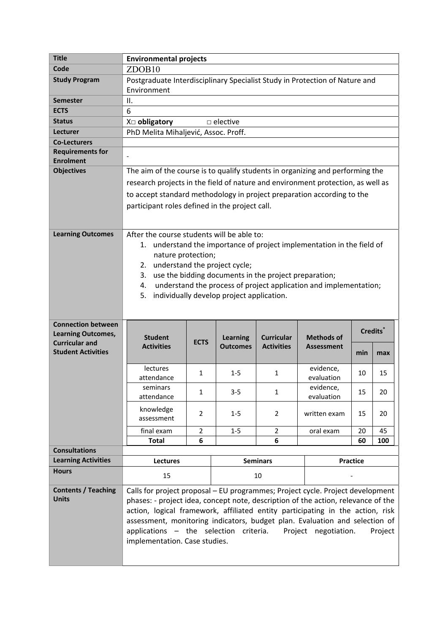| <b>Title</b>                                       | <b>Environmental projects</b>                                                     |                |                                           |                                                       |                                                                        |                 |         |
|----------------------------------------------------|-----------------------------------------------------------------------------------|----------------|-------------------------------------------|-------------------------------------------------------|------------------------------------------------------------------------|-----------------|---------|
| Code                                               | ZDOB <sub>10</sub>                                                                |                |                                           |                                                       |                                                                        |                 |         |
| <b>Study Program</b>                               | Postgraduate Interdisciplinary Specialist Study in Protection of Nature and       |                |                                           |                                                       |                                                                        |                 |         |
|                                                    | Environment                                                                       |                |                                           |                                                       |                                                                        |                 |         |
| <b>Semester</b>                                    | II.                                                                               |                |                                           |                                                       |                                                                        |                 |         |
| <b>ECTS</b>                                        | 6                                                                                 |                |                                           |                                                       |                                                                        |                 |         |
| <b>Status</b>                                      | X□ obligatory<br>$\Box$ elective                                                  |                |                                           |                                                       |                                                                        |                 |         |
| Lecturer                                           | PhD Melita Mihaljević, Assoc. Proff.                                              |                |                                           |                                                       |                                                                        |                 |         |
| <b>Co-Lecturers</b>                                |                                                                                   |                |                                           |                                                       |                                                                        |                 |         |
| <b>Requirements for</b><br><b>Enrolment</b>        |                                                                                   |                |                                           |                                                       |                                                                        |                 |         |
| <b>Objectives</b>                                  | The aim of the course is to qualify students in organizing and performing the     |                |                                           |                                                       |                                                                        |                 |         |
|                                                    | research projects in the field of nature and environment protection, as well as   |                |                                           |                                                       |                                                                        |                 |         |
|                                                    |                                                                                   |                |                                           |                                                       |                                                                        |                 |         |
|                                                    | to accept standard methodology in project preparation according to the            |                |                                           |                                                       |                                                                        |                 |         |
|                                                    | participant roles defined in the project call.                                    |                |                                           |                                                       |                                                                        |                 |         |
|                                                    |                                                                                   |                |                                           |                                                       |                                                                        |                 |         |
| <b>Learning Outcomes</b>                           | After the course students will be able to:                                        |                |                                           |                                                       |                                                                        |                 |         |
|                                                    |                                                                                   |                |                                           |                                                       | 1. understand the importance of project implementation in the field of |                 |         |
|                                                    | nature protection;                                                                |                |                                           |                                                       |                                                                        |                 |         |
|                                                    | 2.                                                                                |                | understand the project cycle;             |                                                       |                                                                        |                 |         |
|                                                    | 3.                                                                                |                |                                           | use the bidding documents in the project preparation; |                                                                        |                 |         |
|                                                    | 4.                                                                                |                |                                           |                                                       | understand the process of project application and implementation;      |                 |         |
|                                                    | 5.                                                                                |                | individually develop project application. |                                                       |                                                                        |                 |         |
|                                                    |                                                                                   |                |                                           |                                                       |                                                                        |                 |         |
|                                                    |                                                                                   |                |                                           |                                                       |                                                                        |                 |         |
|                                                    |                                                                                   |                |                                           |                                                       |                                                                        |                 |         |
| <b>Connection between</b>                          |                                                                                   |                |                                           |                                                       |                                                                        | <b>Credits</b>  |         |
| <b>Learning Outcomes,</b><br><b>Curricular and</b> | <b>Student</b>                                                                    | <b>ECTS</b>    | <b>Learning</b>                           | <b>Curricular</b>                                     | <b>Methods of</b>                                                      |                 |         |
| <b>Student Activities</b>                          | <b>Activities</b>                                                                 |                | <b>Outcomes</b>                           | <b>Activities</b>                                     | <b>Assessment</b>                                                      | min             | max     |
|                                                    |                                                                                   |                |                                           |                                                       |                                                                        |                 |         |
|                                                    | lectures                                                                          | 1              | $1 - 5$                                   | 1                                                     | evidence,                                                              | 10              | 15      |
|                                                    | attendance<br>seminars                                                            |                |                                           |                                                       | evaluation<br>evidence,                                                |                 |         |
|                                                    | attendance                                                                        | 1              | 3-5                                       | 1                                                     | evaluation                                                             | 15              | 20      |
|                                                    | knowledge                                                                         |                |                                           |                                                       |                                                                        |                 |         |
|                                                    | assessment                                                                        | $\overline{2}$ | $1 - 5$                                   | $\overline{2}$                                        | written exam                                                           | 15              | 20      |
|                                                    | final exam                                                                        | $\overline{2}$ | $1-5$                                     | $\overline{2}$                                        | oral exam                                                              | 20              | 45      |
|                                                    | <b>Total</b>                                                                      | 6              |                                           | 6                                                     |                                                                        | 60              | 100     |
| <b>Consultations</b>                               |                                                                                   |                |                                           |                                                       |                                                                        |                 |         |
| <b>Learning Activities</b>                         | Lectures                                                                          |                |                                           | <b>Seminars</b>                                       |                                                                        | <b>Practice</b> |         |
| <b>Hours</b>                                       | 15                                                                                |                |                                           | 10                                                    |                                                                        |                 |         |
| <b>Contents / Teaching</b>                         | Calls for project proposal - EU programmes; Project cycle. Project development    |                |                                           |                                                       |                                                                        |                 |         |
| <b>Units</b>                                       | phases: - project idea, concept note, description of the action, relevance of the |                |                                           |                                                       |                                                                        |                 |         |
|                                                    | action, logical framework, affiliated entity participating in the action, risk    |                |                                           |                                                       |                                                                        |                 |         |
|                                                    | assessment, monitoring indicators, budget plan. Evaluation and selection of       |                |                                           |                                                       |                                                                        |                 |         |
|                                                    | applications - the selection criteria.                                            |                |                                           |                                                       | Project negotiation.                                                   |                 | Project |
|                                                    | implementation. Case studies.                                                     |                |                                           |                                                       |                                                                        |                 |         |